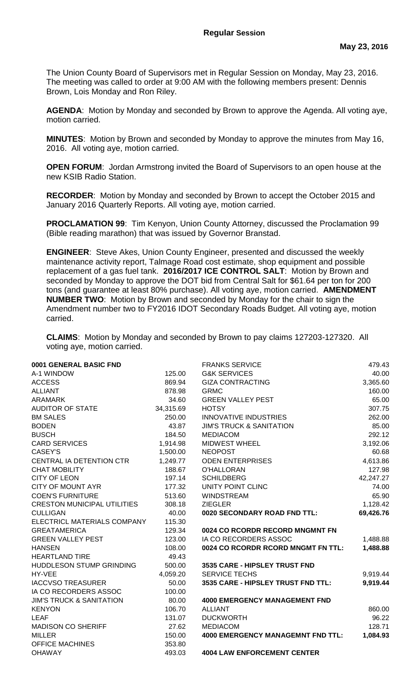The Union County Board of Supervisors met in Regular Session on Monday, May 23, 2016. The meeting was called to order at 9:00 AM with the following members present: Dennis Brown, Lois Monday and Ron Riley.

**AGENDA**: Motion by Monday and seconded by Brown to approve the Agenda. All voting aye, motion carried.

**MINUTES**: Motion by Brown and seconded by Monday to approve the minutes from May 16, 2016. All voting aye, motion carried.

**OPEN FORUM**: Jordan Armstrong invited the Board of Supervisors to an open house at the new KSIB Radio Station.

**RECORDER**: Motion by Monday and seconded by Brown to accept the October 2015 and January 2016 Quarterly Reports. All voting aye, motion carried.

**PROCLAMATION 99**: Tim Kenyon, Union County Attorney, discussed the Proclamation 99 (Bible reading marathon) that was issued by Governor Branstad.

**ENGINEER**: Steve Akes, Union County Engineer, presented and discussed the weekly maintenance activity report, Talmage Road cost estimate, shop equipment and possible replacement of a gas fuel tank. **2016/2017 ICE CONTROL SALT**: Motion by Brown and seconded by Monday to approve the DOT bid from Central Salt for \$61.64 per ton for 200 tons (and guarantee at least 80% purchase). All voting aye, motion carried. **AMENDMENT NUMBER TWO**: Motion by Brown and seconded by Monday for the chair to sign the Amendment number two to FY2016 IDOT Secondary Roads Budget. All voting aye, motion carried.

**CLAIMS**: Motion by Monday and seconded by Brown to pay claims 127203-127320. All voting aye, motion carried.

| 0001 GENERAL BASIC FND              |           | <b>FRANKS SERVICE</b>                    | 479.43    |
|-------------------------------------|-----------|------------------------------------------|-----------|
| A-1 WINDOW                          | 125.00    | <b>G&amp;K SERVICES</b>                  | 40.00     |
| <b>ACCESS</b>                       | 869.94    | <b>GIZA CONTRACTING</b>                  | 3,365.60  |
| <b>ALLIANT</b>                      | 878.98    | <b>GRMC</b>                              | 160.00    |
| <b>ARAMARK</b>                      | 34.60     | <b>GREEN VALLEY PEST</b>                 | 65.00     |
| <b>AUDITOR OF STATE</b>             | 34,315.69 | <b>HOTSY</b>                             | 307.75    |
| <b>BM SALES</b>                     | 250.00    | <b>INNOVATIVE INDUSTRIES</b>             | 262.00    |
| <b>BODEN</b>                        | 43.87     | <b>JIM'S TRUCK &amp; SANITATION</b>      | 85.00     |
| <b>BUSCH</b>                        | 184.50    | <b>MEDIACOM</b>                          | 292.12    |
| <b>CARD SERVICES</b>                | 1,914.98  | <b>MIDWEST WHEEL</b>                     | 3,192.06  |
| CASEY'S                             | 1,500.00  | <b>NEOPOST</b>                           | 60.68     |
| CENTRAL IA DETENTION CTR            | 1,249.77  | <b>ODEN ENTERPRISES</b>                  | 4,613.86  |
| <b>CHAT MOBILITY</b>                | 188.67    | <b>O'HALLORAN</b>                        | 127.98    |
| <b>CITY OF LEON</b>                 | 197.14    | <b>SCHILDBERG</b>                        | 42,247.27 |
| <b>CITY OF MOUNT AYR</b>            | 177.32    | UNITY POINT CLINC                        | 74.00     |
| <b>COEN'S FURNITURE</b>             | 513.60    | <b>WINDSTREAM</b>                        | 65.90     |
| <b>CRESTON MUNICIPAL UTILITIES</b>  | 308.18    | <b>ZIEGLER</b>                           | 1,128.42  |
| <b>CULLIGAN</b>                     | 40.00     | 0020 SECONDARY ROAD FND TTL:             | 69,426.76 |
| ELECTRICL MATERIALS COMPANY         | 115.30    |                                          |           |
| <b>GREATAMERICA</b>                 | 129.34    | 0024 CO RCORDR RECORD MNGMNT FN          |           |
| <b>GREEN VALLEY PEST</b>            | 123.00    | IA CO RECORDERS ASSOC                    | 1,488.88  |
| <b>HANSEN</b>                       | 108.00    | 0024 CO RCORDR RCORD MNGMT FN TTL:       | 1,488.88  |
| <b>HEARTLAND TIRE</b>               | 49.43     |                                          |           |
| HUDDLESON STUMP GRINDING            | 500.00    | 3535 CARE - HIPSLEY TRUST FND            |           |
| HY-VEE                              | 4,059.20  | <b>SERVICE TECHS</b>                     | 9,919.44  |
| <b>IACCVSO TREASURER</b>            | 50.00     | 3535 CARE - HIPSLEY TRUST FND TTL:       | 9,919.44  |
| IA CO RECORDERS ASSOC               | 100.00    |                                          |           |
| <b>JIM'S TRUCK &amp; SANITATION</b> | 80.00     | <b>4000 EMERGENCY MANAGEMENT FND</b>     |           |
| <b>KENYON</b>                       | 106.70    | <b>ALLIANT</b>                           | 860.00    |
| <b>LEAF</b>                         | 131.07    | <b>DUCKWORTH</b>                         | 96.22     |
| <b>MADISON CO SHERIFF</b>           | 27.62     | <b>MEDIACOM</b>                          | 128.71    |
| <b>MILLER</b>                       | 150.00    | <b>4000 EMERGENCY MANAGEMNT FND TTL:</b> | 1,084.93  |
| <b>OFFICE MACHINES</b>              | 353.80    |                                          |           |
| <b>OHAWAY</b>                       | 493.03    | <b>4004 LAW ENFORCEMENT CENTER</b>       |           |